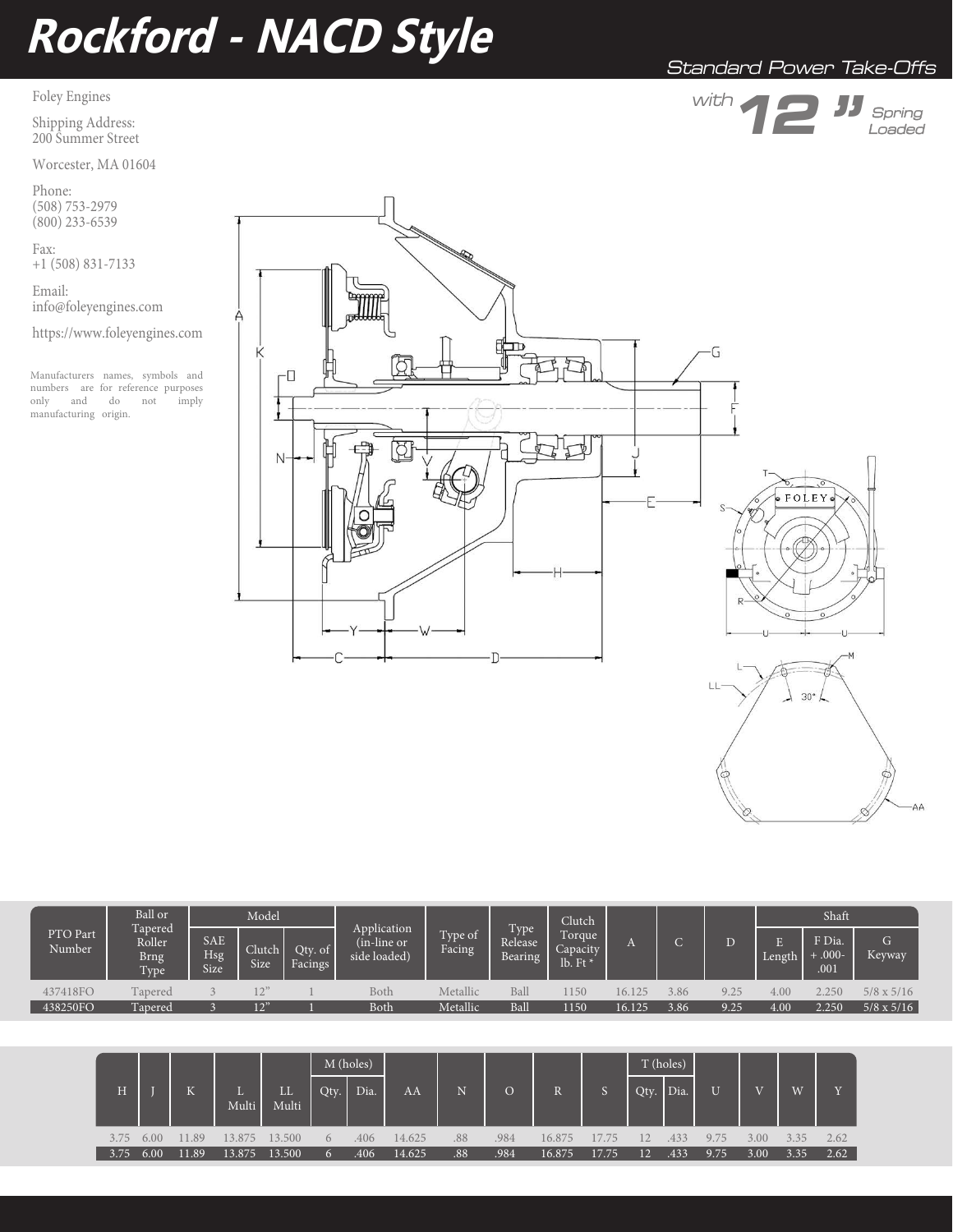# **Rockford - NACD Style**

## Foley Engines

Shipping Address: 200 Summer Street

Worcester, MA 01604

Phone: (508) 753-2979 (800) 233-6539

Fax: +1 (508) 831-7133

Email: info@foleyengines.com

https://www.foleyengines.com

Manufacturers names, symbols and numbers are for reference purposes<br>only and do not imply only and do not manufacturing origin.







|  | PTO Part<br>Number | Ball or<br>Tapered<br>Roller<br><b>Brng</b><br>Type | Model                            |                |                            |                                            |                   | Clutch                                  |                                  |        |      | Shaft |         |                           |                   |
|--|--------------------|-----------------------------------------------------|----------------------------------|----------------|----------------------------|--------------------------------------------|-------------------|-----------------------------------------|----------------------------------|--------|------|-------|---------|---------------------------|-------------------|
|  |                    |                                                     | <b>SAE</b><br>Hsg<br><b>Size</b> | Clutch<br>Size | Qty. of $\vert$<br>Facings | Application<br>(in-line or<br>side loaded) | Type of<br>Facing | Type <sup>1</sup><br>Release<br>Bearing | Torque<br>Capacity<br>lb. Ft $*$ |        |      |       | Length. | F Dia.<br>$+000-$<br>.001 | G.<br>Keyway      |
|  | 437418FO           | Tapered                                             |                                  |                |                            | Both                                       | Metallic          | Ball                                    | 1150                             | 16.125 | 3.86 | 9.25  | 4.00    | 2.250                     | $5/8 \times 5/16$ |
|  | 438250FO           | Tapered                                             |                                  | 12"            |                            | <b>Both</b>                                | Metallic          | Ball                                    | 1150                             | 16.125 | 3.86 | 9.25  | 4.00    | 2.250                     | $5/8 \times 5/16$ |

|      |      |                     |             |             | M (holes)    |      |        |     |                |        |       | T (holes) |      |                |      |      |      |
|------|------|---------------------|-------------|-------------|--------------|------|--------|-----|----------------|--------|-------|-----------|------|----------------|------|------|------|
| H    |      | $\overline{V}$<br>N | L.<br>Multi | LL<br>Multi | Qty.         | Dia. | AA     | N   | $\overline{O}$ |        |       | Qty.      | Dia. | $\overline{U}$ |      | W    |      |
| 3.75 | 6.00 | .89<br>H.           | 13.875      | 13.500      | $\theta$     | .406 | 14.625 | .88 | .984           | 16.875 | 17.75 |           | 433  | 9.75           | 3.00 | 335  | 2.62 |
| 3.75 | 6.00 | 11.89               | 13.875      | 13.500      | $\mathbf{a}$ | .406 | 14.625 | .88 | .984           | 16.875 | 17.75 | 12        | .433 | 9.75           | 3.00 | 3.35 | 2.62 |